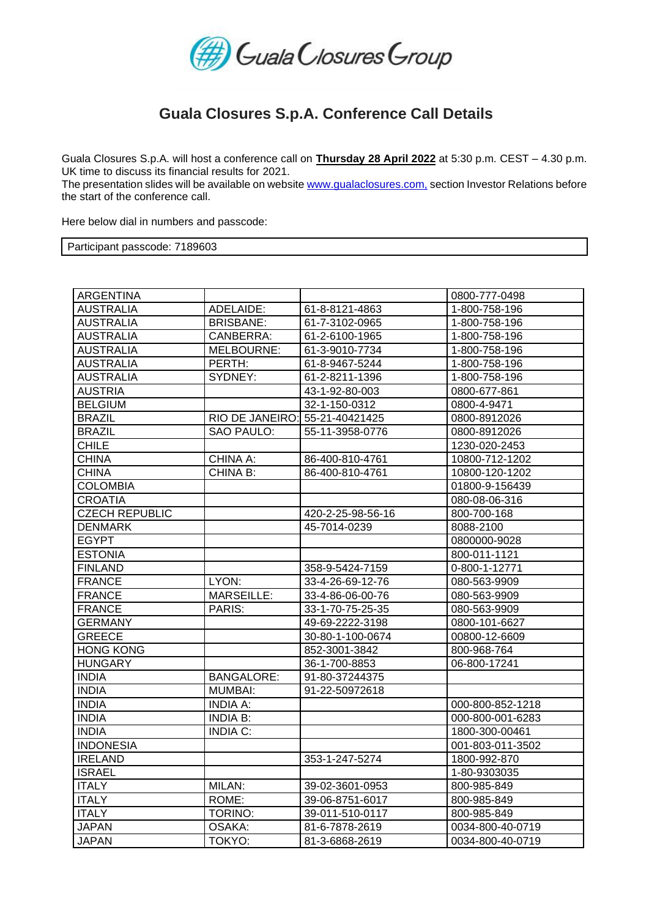

## **Guala Closures S.p.A. Conference Call Details**

Guala Closures S.p.A. will host a conference call on **Thursday 28 April 2022** at 5:30 p.m. CEST – 4.30 p.m. UK time to discuss its financial results for 2021.

The presentation slides will be available on website [www.gualaclosures.com,](http://www.gualaclosures.com/) section Investor Relations before the start of the conference call.

Here below dial in numbers and passcode:

Participant passcode: 7189603

| <b>ARGENTINA</b>      |                                |                   | 0800-777-0498    |
|-----------------------|--------------------------------|-------------------|------------------|
| <b>AUSTRALIA</b>      | ADELAIDE:                      | 61-8-8121-4863    | 1-800-758-196    |
| <b>AUSTRALIA</b>      | <b>BRISBANE:</b>               | 61-7-3102-0965    | 1-800-758-196    |
| <b>AUSTRALIA</b>      | CANBERRA:                      | 61-2-6100-1965    | 1-800-758-196    |
| <b>AUSTRALIA</b>      | MELBOURNE:                     | 61-3-9010-7734    | 1-800-758-196    |
| <b>AUSTRALIA</b>      | PERTH:                         | 61-8-9467-5244    | 1-800-758-196    |
| <b>AUSTRALIA</b>      | SYDNEY:                        | 61-2-8211-1396    | 1-800-758-196    |
| <b>AUSTRIA</b>        |                                | 43-1-92-80-003    | 0800-677-861     |
| <b>BELGIUM</b>        |                                | 32-1-150-0312     | 0800-4-9471      |
| <b>BRAZIL</b>         | RIO DE JANEIRO: 55-21-40421425 |                   | 0800-8912026     |
| <b>BRAZIL</b>         | SAO PAULO:                     | 55-11-3958-0776   | 0800-8912026     |
| <b>CHILE</b>          |                                |                   | 1230-020-2453    |
| <b>CHINA</b>          | CHINA A:                       | 86-400-810-4761   | 10800-712-1202   |
| <b>CHINA</b>          | CHINA B:                       | 86-400-810-4761   | 10800-120-1202   |
| <b>COLOMBIA</b>       |                                |                   | 01800-9-156439   |
| <b>CROATIA</b>        |                                |                   | 080-08-06-316    |
| <b>CZECH REPUBLIC</b> |                                | 420-2-25-98-56-16 | 800-700-168      |
| <b>DENMARK</b>        |                                | 45-7014-0239      | 8088-2100        |
| <b>EGYPT</b>          |                                |                   | 0800000-9028     |
| <b>ESTONIA</b>        |                                |                   | 800-011-1121     |
| <b>FINLAND</b>        |                                | 358-9-5424-7159   | 0-800-1-12771    |
| <b>FRANCE</b>         | LYON:                          | 33-4-26-69-12-76  | 080-563-9909     |
| <b>FRANCE</b>         | <b>MARSEILLE:</b>              | 33-4-86-06-00-76  | 080-563-9909     |
| <b>FRANCE</b>         | PARIS:                         | 33-1-70-75-25-35  | 080-563-9909     |
| <b>GERMANY</b>        |                                | 49-69-2222-3198   | 0800-101-6627    |
| <b>GREECE</b>         |                                | 30-80-1-100-0674  | 00800-12-6609    |
| <b>HONG KONG</b>      |                                | 852-3001-3842     | 800-968-764      |
| <b>HUNGARY</b>        |                                | 36-1-700-8853     | 06-800-17241     |
| <b>INDIA</b>          | <b>BANGALORE:</b>              | 91-80-37244375    |                  |
| <b>INDIA</b>          | <b>MUMBAI:</b>                 | 91-22-50972618    |                  |
| <b>INDIA</b>          | <b>INDIA A:</b>                |                   | 000-800-852-1218 |
| <b>INDIA</b>          | INDIA B:                       |                   | 000-800-001-6283 |
| <b>INDIA</b>          | <b>INDIA C:</b>                |                   | 1800-300-00461   |
| <b>INDONESIA</b>      |                                |                   | 001-803-011-3502 |
| <b>IRELAND</b>        |                                | 353-1-247-5274    | 1800-992-870     |
| <b>ISRAEL</b>         |                                |                   | 1-80-9303035     |
| <b>ITALY</b>          | MILAN:                         | 39-02-3601-0953   | 800-985-849      |
| <b>ITALY</b>          | ROME:                          | 39-06-8751-6017   | 800-985-849      |
| <b>ITALY</b>          | TORINO:                        | 39-011-510-0117   | 800-985-849      |
| <b>JAPAN</b>          | OSAKA:                         | 81-6-7878-2619    | 0034-800-40-0719 |
| <b>JAPAN</b>          | TOKYO:                         | 81-3-6868-2619    | 0034-800-40-0719 |